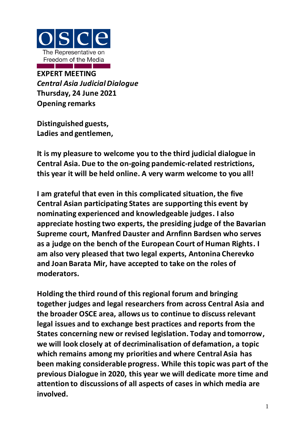

**EXPERT MEETING** *Central Asia Judicial Dialogue* **Thursday, 24 June 2021 Opening remarks**

**Distinguished guests, Ladies and gentlemen,**

**It is my pleasure to welcome you to the third judicial dialogue in Central Asia. Due to the on-going pandemic-related restrictions, this year it will be held online. A very warm welcome to you all!**

**I am grateful that even in this complicated situation, the five Central Asian participating States are supporting this event by nominating experienced and knowledgeable judges. I also appreciate hosting two experts, the presiding judge of the Bavarian Supreme court, Manfred Dauster and Arnfinn Bardsen who serves as a judge on the bench of the European Court of Human Rights. I am also very pleased that two legal experts, Antonina Cherevko and Joan Barata Mir, have accepted to take on the roles of moderators.**

**Holding the third round of this regional forum and bringing together judges and legal researchers from across Central Asia and the broader OSCE area, allows us to continue to discuss relevant legal issues and to exchange best practices and reports from the States concerning new or revised legislation. Today and tomorrow, we will look closely at of decriminalisation of defamation, a topic which remains among my priorities and where Central Asia has been making considerable progress. While this topic was part of the previous Dialogue in 2020, this year we will dedicate more time and attention to discussions of all aspects of cases in which media are involved.**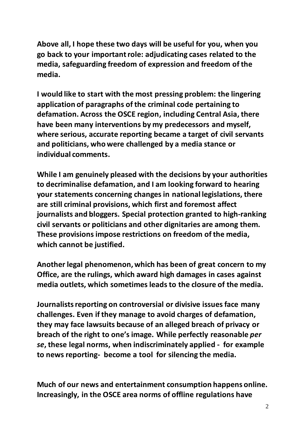**Above all, I hope these two days will be useful for you, when you go back to your important role: adjudicating cases related to the media, safeguarding freedom of expression and freedom of the media.**

**I would like to start with the most pressing problem: the lingering application of paragraphs of the criminal code pertaining to defamation. Across the OSCE region, including Central Asia, there have been many interventions by my predecessors and myself, where serious, accurate reporting became a target of civil servants and politicians, who were challenged by a media stance or individual comments.**

**While I am genuinely pleased with the decisions by your authorities to decriminalise defamation, and I am looking forward to hearing your statements concerning changes in national legislations, there are still criminal provisions, which first and foremost affect journalists and bloggers. Special protection granted to high-ranking civil servants or politicians and other dignitaries are among them. These provisions impose restrictions on freedom of the media, which cannot be justified.**

**Another legal phenomenon, which has been of great concern to my Office, are the rulings, which award high damages in cases against media outlets, which sometimes leads to the closure of the media.**

**Journalists reporting on controversial or divisive issues face many challenges. Even if they manage to avoid charges of defamation, they may face lawsuits because of an alleged breach of privacy or breach of the right to one's image. While perfectly reasonable** *per se***, these legal norms, when indiscriminately applied - for example to news reporting- become a tool for silencing the media.**

**Much of our news and entertainment consumption happens online. Increasingly, in the OSCE area norms of offline regulations have**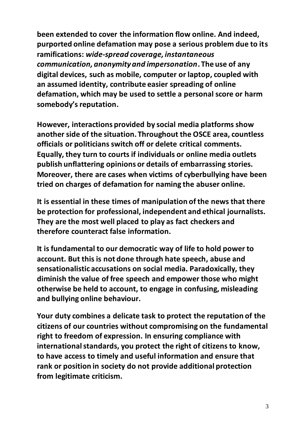**been extended to cover the information flow online. And indeed, purported online defamation may pose a serious problem due to its ramifications:** *wide-spread coverage, instantaneous communication, anonymity and impersonation***. The use of any digital devices, such as mobile, computer or laptop, coupled with an assumed identity, contribute easier spreading of online defamation, which may be used to settle a personal score or harm somebody's reputation.** 

**However, interactions provided by social media platforms show another side of the situation. Throughout the OSCE area, countless officials or politicians switch off or delete critical comments. Equally, they turn to courts if individuals or online media outlets publish unflattering opinions or details of embarrassing stories. Moreover, there are cases when victims of cyberbullying have been tried on charges of defamation for naming the abuser online.**

**It is essential in these times of manipulation of the news that there be protection for professional, independent and ethical journalists. They are the most well placed to play as fact checkers and therefore counteract false information.**

**It is fundamental to our democratic way of life to hold power to account. But this is not done through hate speech, abuse and sensationalistic accusations on social media. Paradoxically, they diminish the value of free speech and empower those who might otherwise be held to account, to engage in confusing, misleading and bullying online behaviour.**

**Your duty combines a delicate task to protect the reputation of the citizens of our countries without compromising on the fundamental right to freedom of expression. In ensuring compliance with international standards, you protect the right of citizens to know, to have access to timely and useful information and ensure that rank or position in society do not provide additional protection from legitimate criticism.**